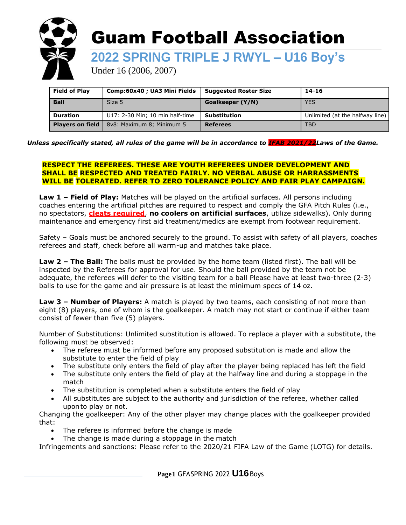

| <b>Field of Play</b>    | Comp:60x40 ; UA3 Mini Fields    | <b>Suggested Roster Size</b> | 14-16                           |
|-------------------------|---------------------------------|------------------------------|---------------------------------|
| <b>Ball</b>             | Size 5                          | Goalkeeper (Y/N)             | <b>YES</b>                      |
| <b>Duration</b>         | U17: 2-30 Min; 10 min half-time | <b>Substitution</b>          | Unlimited (at the halfway line) |
| <b>Players on field</b> | 8v8: Maximum 8; Minimum 5       | <b>Referees</b>              | <b>TBD</b>                      |

#### *Unless specifically stated, all rules of the game will be in accordance to IFAB 2021/22Laws of the Game.*

#### **RESPECT THE REFEREES. THESE ARE YOUTH REFEREES UNDER DEVELOPMENT AND SHALL BE RESPECTED AND TREATED FAIRLY. NO VERBAL ABUSE OR HARRASSMENTS WILL BE TOLERATED. REFER TO ZERO TOLERANCE POLICY AND FAIR PLAY CAMPAIGN.**

**Law 1 – Field of Play:** Matches will be played on the artificial surfaces. All persons including coaches entering the artificial pitches are required to respect and comply the GFA Pitch Rules (i.e., no spectators, **cleats required**, **no coolers on artificial surfaces**, utilize sidewalks). Only during maintenance and emergency first aid treatment/medics are exempt from footwear requirement.

Safety – Goals must be anchored securely to the ground. To assist with safety of all players, coaches referees and staff, check before all warm-up and matches take place.

**Law 2 – The Ball:** The balls must be provided by the home team (listed first). The ball will be inspected by the Referees for approval for use. Should the ball provided by the team not be adequate, the referees will defer to the visiting team for a ball Please have at least two-three (2-3) balls to use for the game and air pressure is at least the minimum specs of 14 oz.

**Law 3 – Number of Players:** A match is played by two teams, each consisting of not more than eight (8) players, one of whom is the goalkeeper. A match may not start or continue if either team consist of fewer than five (5) players.

Number of Substitutions: Unlimited substitution is allowed. To replace a player with a substitute, the following must be observed:

- The referee must be informed before any proposed substitution is made and allow the substitute to enter the field of play
- The substitute only enters the field of play after the player being replaced has left the field
- The substitute only enters the field of play at the halfway line and during a stoppage in the match
- The substitution is completed when a substitute enters the field of play
- All substitutes are subject to the authority and jurisdiction of the referee, whether called uponto play or not.

Changing the goalkeeper: Any of the other player may change places with the goalkeeper provided that:

- The referee is informed before the change is made
- The change is made during a stoppage in the match

Infringements and sanctions: Please refer to the 2020/21 FIFA Law of the Game (LOTG) for details.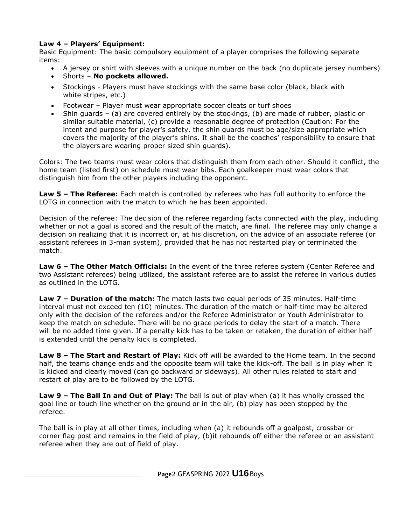## **Law 4 – Players' Equipment:**

Basic Equipment: The basic compulsory equipment of a player comprises the following separate items:

- A jersey or shirt with sleeves with a unique number on the back (no duplicate jersey numbers)
- Shorts **No pockets allowed.**
- Stockings Players must have stockings with the same base color (black, black with white stripes, etc.)
- Footwear Player must wear appropriate soccer cleats or turf shoes
- Shin guards (a) are covered entirely by the stockings, (b) are made of rubber, plastic or similar suitable material, (c) provide a reasonable degree of protection (Caution: For the intent and purpose for player's safety, the shin guards must be age/size appropriate which covers the majority of the player's shins. It shall be the coaches' responsibility to ensure that the players are wearing proper sized shin guards).

Colors: The two teams must wear colors that distinguish them from each other. Should it conflict, the home team (listed first) on schedule must wear bibs. Each goalkeeper must wear colors that distinguish him from the other players including the opponent.

**Law 5 – The Referee:** Each match is controlled by referees who has full authority to enforce the LOTG in connection with the match to which he has been appointed.

Decision of the referee: The decision of the referee regarding facts connected with the play, including whether or not a goal is scored and the result of the match, are final. The referee may only change a decision on realizing that it is incorrect or, at his discretion, on the advice of an associate referee (or assistant referees in 3-man system), provided that he has not restarted play or terminated the match.

**Law 6 – The Other Match Officials:** In the event of the three referee system (Center Referee and two Assistant referees) being utilized, the assistant referee are to assist the referee in various duties as outlined in the LOTG.

**Law 7 – Duration of the match:** The match lasts two equal periods of 35 minutes. Half-time interval must not exceed ten (10) minutes. The duration of the match or half-time may be altered only with the decision of the referees and/or the Referee Administrator or Youth Administrator to keep the match on schedule. There will be no grace periods to delay the start of a match. There will be no added time given. If a penalty kick has to be taken or retaken, the duration of either half is extended until the penalty kick is completed.

**Law 8 – The Start and Restart of Play:** Kick off will be awarded to the Home team. In the second half, the teams change ends and the opposite team will take the kick-off. The ball is in play when it is kicked and clearly moved (can go backward or sideways). All other rules related to start and restart of play are to be followed by the LOTG.

**Law 9 – The Ball In and Out of Play:** The ball is out of play when (a) it has wholly crossed the goal line or touch line whether on the ground or in the air, (b) play has been stopped by the referee.

The ball is in play at all other times, including when (a) it rebounds off a goalpost, crossbar or corner flag post and remains in the field of play, (b)it rebounds off either the referee or an assistant referee when they are out of field of play.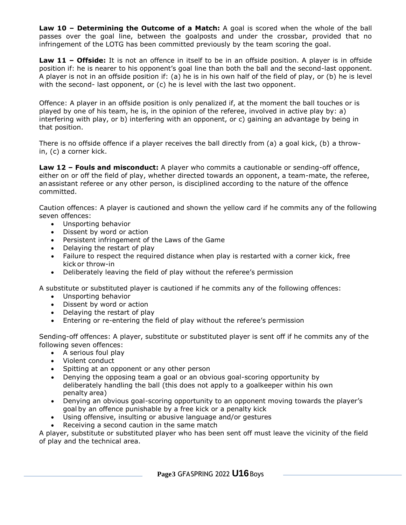**Law 10 – Determining the Outcome of a Match:** A goal is scored when the whole of the ball passes over the goal line, between the goalposts and under the crossbar, provided that no infringement of the LOTG has been committed previously by the team scoring the goal.

**Law 11 – Offside:** It is not an offence in itself to be in an offside position. A player is in offside position if: he is nearer to his opponent's goal line than both the ball and the second-last opponent. A player is not in an offside position if: (a) he is in his own half of the field of play, or (b) he is level with the second- last opponent, or (c) he is level with the last two opponent.

Offence: A player in an offside position is only penalized if, at the moment the ball touches or is played by one of his team, he is, in the opinion of the referee, involved in active play by: a) interfering with play, or b) interfering with an opponent, or c) gaining an advantage by being in that position.

There is no offside offence if a player receives the ball directly from (a) a goal kick, (b) a throwin, (c) a corner kick.

**Law 12 – Fouls and misconduct:** A player who commits a cautionable or sending-off offence, either on or off the field of play, whether directed towards an opponent, a team-mate, the referee, anassistant referee or any other person, is disciplined according to the nature of the offence committed.

Caution offences: A player is cautioned and shown the yellow card if he commits any of the following seven offences:

- Unsporting behavior
- Dissent by word or action
- Persistent infringement of the Laws of the Game
- Delaying the restart of play
- Failure to respect the required distance when play is restarted with a corner kick, free kick or throw-in
- Deliberately leaving the field of play without the referee's permission

A substitute or substituted player is cautioned if he commits any of the following offences:

- Unsporting behavior
- Dissent by word or action
- Delaying the restart of play
- Entering or re-entering the field of play without the referee's permission

Sending-off offences: A player, substitute or substituted player is sent off if he commits any of the following seven offences:

- A serious foul play
- Violent conduct
- Spitting at an opponent or any other person
- Denying the opposing team a goal or an obvious goal-scoring opportunity by deliberately handling the ball (this does not apply to a goalkeeper within his own penalty area)
- Denying an obvious goal-scoring opportunity to an opponent moving towards the player's goal by an offence punishable by a free kick or a penalty kick
- Using offensive, insulting or abusive language and/or gestures
- Receiving a second caution in the same match

A player, substitute or substituted player who has been sent off must leave the vicinity of the field of play and the technical area.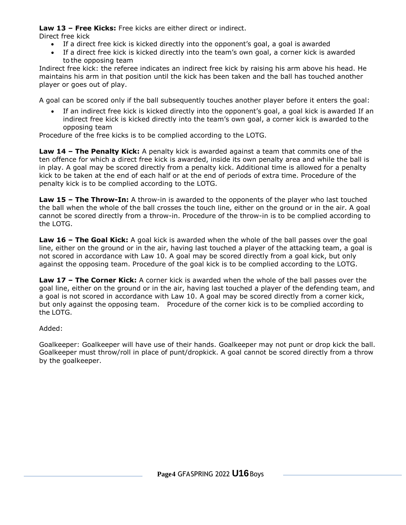**Law 13 – Free Kicks:** Free kicks are either direct or indirect.

Direct free kick

- If a direct free kick is kicked directly into the opponent's goal, a goal is awarded
- If a direct free kick is kicked directly into the team's own goal, a corner kick is awarded to the opposing team

Indirect free kick: the referee indicates an indirect free kick by raising his arm above his head. He maintains his arm in that position until the kick has been taken and the ball has touched another player or goes out of play.

A goal can be scored only if the ball subsequently touches another player before it enters the goal:

 If an indirect free kick is kicked directly into the opponent's goal, a goal kick is awarded If an indirect free kick is kicked directly into the team's own goal, a corner kick is awarded to the opposing team

Procedure of the free kicks is to be complied according to the LOTG.

**Law 14 – The Penalty Kick:** A penalty kick is awarded against a team that commits one of the ten offence for which a direct free kick is awarded, inside its own penalty area and while the ball is in play. A goal may be scored directly from a penalty kick. Additional time is allowed for a penalty kick to be taken at the end of each half or at the end of periods of extra time. Procedure of the penalty kick is to be complied according to the LOTG.

**Law 15 – The Throw-In:** A throw-in is awarded to the opponents of the player who last touched the ball when the whole of the ball crosses the touch line, either on the ground or in the air. A goal cannot be scored directly from a throw-in. Procedure of the throw-in is to be complied according to the LOTG.

**Law 16 – The Goal Kick:** A goal kick is awarded when the whole of the ball passes over the goal line, either on the ground or in the air, having last touched a player of the attacking team, a goal is not scored in accordance with Law 10. A goal may be scored directly from a goal kick, but only against the opposing team. Procedure of the goal kick is to be complied according to the LOTG.

**Law 17 – The Corner Kick:** A corner kick is awarded when the whole of the ball passes over the goal line, either on the ground or in the air, having last touched a player of the defending team, and a goal is not scored in accordance with Law 10. A goal may be scored directly from a corner kick, but only against the opposing team. Procedure of the corner kick is to be complied according to the LOTG.

Added:

Goalkeeper: Goalkeeper will have use of their hands. Goalkeeper may not punt or drop kick the ball. Goalkeeper must throw/roll in place of punt/dropkick. A goal cannot be scored directly from a throw by the goalkeeper.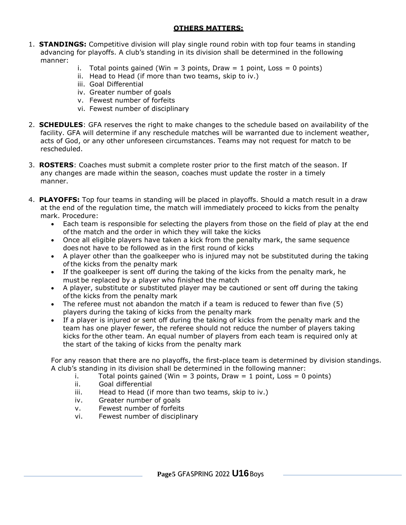## **OTHERS MATTERS:**

- 1. **STANDINGS:** Competitive division will play single round robin with top four teams in standing advancing for playoffs. A club's standing in its division shall be determined in the following manner:
	- i. Total points gained (Win = 3 points, Draw = 1 point, Loss = 0 points)
	- ii. Head to Head (if more than two teams, skip to iv.)
	- iii. Goal Differential
	- iv. Greater number of goals
	- v. Fewest number of forfeits
	- vi. Fewest number of disciplinary
- 2. **SCHEDULES**: GFA reserves the right to make changes to the schedule based on availability of the facility. GFA will determine if any reschedule matches will be warranted due to inclement weather, acts of God, or any other unforeseen circumstances. Teams may not request for match to be rescheduled.
- 3. **ROSTERS**: Coaches must submit a complete roster prior to the first match of the season. If any changes are made within the season, coaches must update the roster in a timely manner.
- 4. **PLAYOFFS:** Top four teams in standing will be placed in playoffs. Should a match result in a draw at the end of the regulation time, the match will immediately proceed to kicks from the penalty mark. Procedure:
	- Each team is responsible for selecting the players from those on the field of play at the end ofthe match and the order in which they will take the kicks
	- Once all eligible players have taken a kick from the penalty mark, the same sequence does not have to be followed as in the first round of kicks
	- A player other than the goalkeeper who is injured may not be substituted during the taking ofthe kicks from the penalty mark
	- If the goalkeeper is sent off during the taking of the kicks from the penalty mark, he must be replaced by a player who finished the match
	- A player, substitute or substituted player may be cautioned or sent off during the taking ofthe kicks from the penalty mark
	- The referee must not abandon the match if a team is reduced to fewer than five (5) players during the taking of kicks from the penalty mark
	- If a player is injured or sent off during the taking of kicks from the penalty mark and the team has one player fewer, the referee should not reduce the number of players taking kicks for the other team. An equal number of players from each team is required only at the start of the taking of kicks from the penalty mark

For any reason that there are no playoffs, the first-place team is determined by division standings. A club's standing in its division shall be determined in the following manner:

- i. Total points gained (Win = 3 points, Draw = 1 point, Loss = 0 points)
- ii. Goal differential
- iii. Head to Head (if more than two teams, skip to iv.)
- iv. Greater number of goals
- v. Fewest number of forfeits
- vi. Fewest number of disciplinary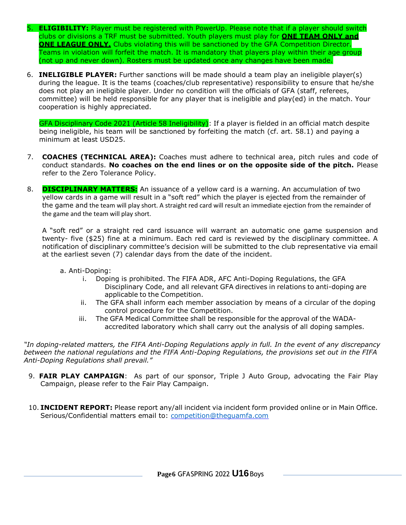- 5. **ELIGIBILITY:** Player must be registered with PowerUp. Please note that if a player should switch clubs or divisions a TRF must be submitted. Youth players must play for **ONE TEAM ONLY and ONE LEAGUE ONLY.** Clubs violating this will be sanctioned by the GFA Competition Director. Teams in violation will forfeit the match. It is mandatory that players play within their age group (not up and never down). Rosters must be updated once any changes have been made.
- 6. **INELIGIBLE PLAYER:** Further sanctions will be made should a team play an ineligible player(s) during the league. It is the teams (coaches/club representative) responsibility to ensure that he/she does not play an ineligible player. Under no condition will the officials of GFA (staff, referees, committee) will be held responsible for any player that is ineligible and play(ed) in the match. Your cooperation is highly appreciated.

GFA Disciplinary Code 2021 (Article 58 Ineligibility): If a player is fielded in an official match despite being ineligible, his team will be sanctioned by forfeiting the match (cf. art. 58.1) and paying a minimum at least USD25.

- 7. **COACHES (TECHNICAL AREA):** Coaches must adhere to technical area, pitch rules and code of conduct standards. **No coaches on the end lines or on the opposite side of the pitch.** Please refer to the Zero Tolerance Policy.
- 8. **DISCIPLINARY MATTERS:** An issuance of a yellow card is a warning. An accumulation of two yellow cards in a game will result in a "soft red" which the player is ejected from the remainder of the game and the team will play short. A straight red card will result an immediate ejection from the remainder of the game and the team will play short.

A "soft red" or a straight red card issuance will warrant an automatic one game suspension and twenty- five (\$25) fine at a minimum. Each red card is reviewed by the disciplinary committee. A notification of disciplinary committee's decision will be submitted to the club representative via email at the earliest seven (7) calendar days from the date of the incident.

- a. Anti-Doping:
	- i. Doping is prohibited. The FIFA ADR, AFC Anti-Doping Regulations, the GFA Disciplinary Code, and all relevant GFA directives in relations to anti-doping are applicable to the Competition.
	- ii. The GFA shall inform each member association by means of a circular of the doping control procedure for the Competition.
	- iii. The GFA Medical Committee shall be responsible for the approval of the WADAaccredited laboratory which shall carry out the analysis of all doping samples.

*"In doping-related matters, the FIFA Anti-Doping Regulations apply in full. In the event of any discrepancy between the national regulations and the FIFA Anti-Doping Regulations, the provisions set out in the FIFA Anti-Doping Regulations shall prevail."*

- 9. **FAIR PLAY CAMPAIGN**: As part of our sponsor, Triple J Auto Group, advocating the Fair Play Campaign, please refer to the Fair Play Campaign.
- 10. **INCIDENT REPORT:** Please report any/all incident via incident form provided online or in Main Office. Serious/Confidential matters email to: competition@thequamfa.com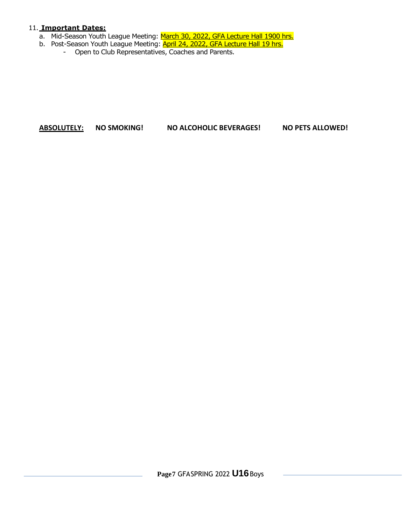### 11. **Important Dates:**

- a. Mid-Season Youth League Meeting: March 30, 2022, GFA Lecture Hall 1900 hrs.
- b. Post-Season Youth League Meeting: **April 24, 2022, GFA Lecture Hall 19 hrs.** 
	- Open to Club Representatives, Coaches and Parents.

# **ABSOLUTELY: NO SMOKING! NO ALCOHOLIC BEVERAGES! NO PETS ALLOWED!**